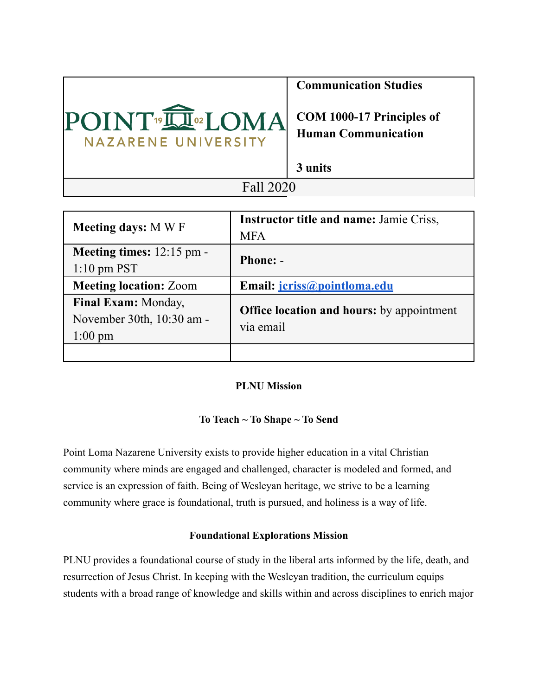

**Communication Studies**

**COM 1000-17 Principles of Human Communication**

**3 units**

# Fall 2020

| <b>Meeting days: MWF</b>                                              | <b>Instructor title and name: Jamie Criss,</b><br><b>MFA</b>  |
|-----------------------------------------------------------------------|---------------------------------------------------------------|
| Meeting times: $12:15$ pm -<br>$1:10 \text{ pm }$ PST                 | <b>Phone: -</b>                                               |
| <b>Meeting location: Zoom</b>                                         | Email: <i>jcriss@pointloma.edu</i>                            |
| Final Exam: Monday,<br>November 30th, 10:30 am -<br>$1:00 \text{ pm}$ | <b>Office location and hours:</b> by appointment<br>via email |
|                                                                       |                                                               |

# **PLNU Mission**

# **To Teach ~ To Shape ~ To Send**

Point Loma Nazarene University exists to provide higher education in a vital Christian community where minds are engaged and challenged, character is modeled and formed, and service is an expression of faith. Being of Wesleyan heritage, we strive to be a learning community where grace is foundational, truth is pursued, and holiness is a way of life.

# **Foundational Explorations Mission**

PLNU provides a foundational course of study in the liberal arts informed by the life, death, and resurrection of Jesus Christ. In keeping with the Wesleyan tradition, the curriculum equips students with a broad range of knowledge and skills within and across disciplines to enrich major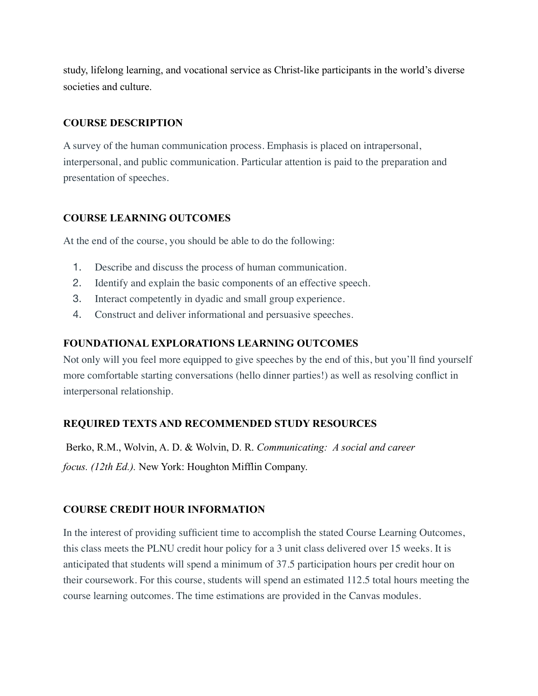study, lifelong learning, and vocational service as Christ-like participants in the world's diverse societies and culture.

### **COURSE DESCRIPTION**

A survey of the human communication process. Emphasis is placed on intrapersonal, interpersonal, and public communication. Particular attention is paid to the preparation and presentation of speeches.

## **COURSE LEARNING OUTCOMES**

At the end of the course, you should be able to do the following:

- 1. Describe and discuss the process of human communication.
- 2. Identify and explain the basic components of an effective speech.
- 3. Interact competently in dyadic and small group experience.
- 4. Construct and deliver informational and persuasive speeches.

### **FOUNDATIONAL EXPLORATIONS LEARNING OUTCOMES**

Not only will you feel more equipped to give speeches by the end of this, but you'll find yourself more comfortable starting conversations (hello dinner parties!) as well as resolving conflict in interpersonal relationship.

# **REQUIRED TEXTS AND RECOMMENDED STUDY RESOURCES**

 Berko, R.M., Wolvin, A. D. & Wolvin, D. R. *Communicating: A social and career focus. (12th Ed.).* New York: Houghton Mifflin Company.

# **COURSE CREDIT HOUR INFORMATION**

In the interest of providing sufficient time to accomplish the stated Course Learning Outcomes, this class meets the PLNU credit hour policy for a 3 unit class delivered over 15 weeks. It is anticipated that students will spend a minimum of 37.5 participation hours per credit hour on their coursework. For this course, students will spend an estimated 112.5 total hours meeting the course learning outcomes. The time estimations are provided in the Canvas modules.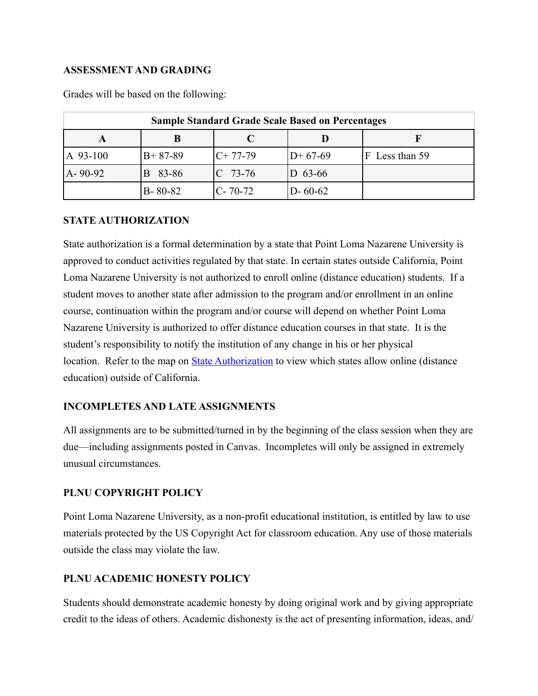#### **ASSESSMENT AND GRADING**

| <b>Sample Standard Grade Scale Based on Percentages</b> |               |            |               |                   |  |
|---------------------------------------------------------|---------------|------------|---------------|-------------------|--|
|                                                         |               |            |               |                   |  |
| $ A\ 93-100\rangle$                                     | $B+87-89$     | $IC+77-79$ | $D+67-69$     | Less than 59<br>F |  |
| $A - 90 - 92$                                           | 83-86<br>R    | $ C 73-76$ | D $63-66$     |                   |  |
|                                                         | $B - 80 - 82$ | IC-70-72   | $D - 60 - 62$ |                   |  |

Grades will be based on the following:

## **STATE AUTHORIZATION**

State authorization is a formal determination by a state that Point Loma Nazarene University is approved to conduct activities regulated by that state. In certain states outside California, Point Loma Nazarene University is not authorized to enroll online (distance education) students. If a student moves to another state after admission to the program and/or enrollment in an online course, continuation within the program and/or course will depend on whether Point Loma Nazarene University is authorized to offer distance education courses in that state. It is the student's responsibility to notify the institution of any change in his or her physical location. Refer to the map on [State Authorization](https://www.pointloma.edu/offices/office-institutional-effectiveness-research/disclosures) to view which states allow online (distance education) outside of California.

### **INCOMPLETES AND LATE ASSIGNMENTS**

All assignments are to be submitted/turned in by the beginning of the class session when they are due—including assignments posted in Canvas. Incompletes will only be assigned in extremely unusual circumstances.

### **PLNU COPYRIGHT POLICY**

Point Loma Nazarene University, as a non-profit educational institution, is entitled by law to use materials protected by the US Copyright Act for classroom education. Any use of those materials outside the class may violate the law.

### **PLNU ACADEMIC HONESTY POLICY**

Students should demonstrate academic honesty by doing original work and by giving appropriate credit to the ideas of others. Academic dishonesty is the act of presenting information, ideas, and/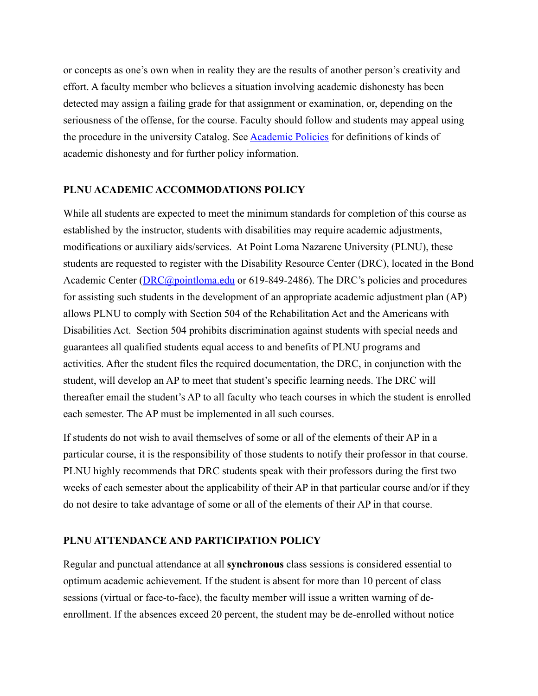or concepts as one's own when in reality they are the results of another person's creativity and effort. A faculty member who believes a situation involving academic dishonesty has been detected may assign a failing grade for that assignment or examination, or, depending on the seriousness of the offense, for the course. Faculty should follow and students may appeal using the procedure in the university Catalog. See [Academic Policies](https://catalog.pointloma.edu/content.php?catoid=41&navoid=2435#Academic_Honesty) for definitions of kinds of academic dishonesty and for further policy information.

#### **PLNU ACADEMIC ACCOMMODATIONS POLICY**

While all students are expected to meet the minimum standards for completion of this course as established by the instructor, students with disabilities may require academic adjustments, modifications or auxiliary aids/services. At Point Loma Nazarene University (PLNU), these students are requested to register with the Disability Resource Center (DRC), located in the Bond Academic Center ([DRC@pointloma.edu](mailto:DRC@pointloma.edu) or 619-849-2486). The DRC's policies and procedures for assisting such students in the development of an appropriate academic adjustment plan (AP) allows PLNU to comply with Section 504 of the Rehabilitation Act and the Americans with Disabilities Act. Section 504 prohibits discrimination against students with special needs and guarantees all qualified students equal access to and benefits of PLNU programs and activities. After the student files the required documentation, the DRC, in conjunction with the student, will develop an AP to meet that student's specific learning needs. The DRC will thereafter email the student's AP to all faculty who teach courses in which the student is enrolled each semester. The AP must be implemented in all such courses.

If students do not wish to avail themselves of some or all of the elements of their AP in a particular course, it is the responsibility of those students to notify their professor in that course. PLNU highly recommends that DRC students speak with their professors during the first two weeks of each semester about the applicability of their AP in that particular course and/or if they do not desire to take advantage of some or all of the elements of their AP in that course.

#### **PLNU ATTENDANCE AND PARTICIPATION POLICY**

Regular and punctual attendance at all **synchronous** class sessions is considered essential to optimum academic achievement. If the student is absent for more than 10 percent of class sessions (virtual or face-to-face), the faculty member will issue a written warning of deenrollment. If the absences exceed 20 percent, the student may be de-enrolled without notice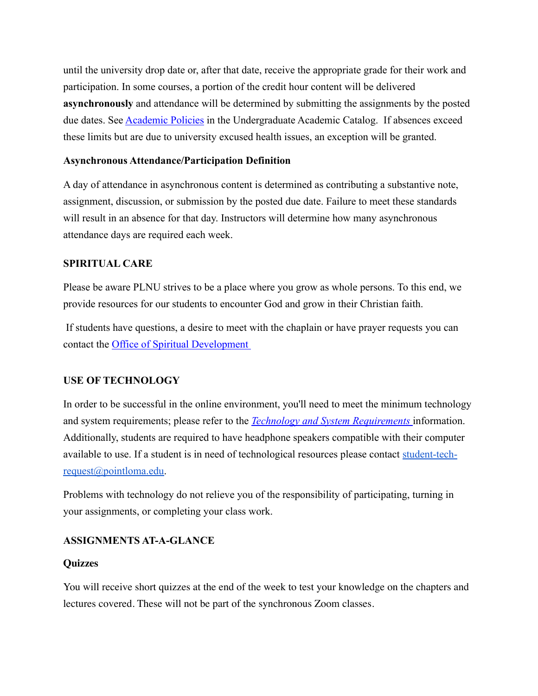until the university drop date or, after that date, receive the appropriate grade for their work and participation. In some courses, a portion of the credit hour content will be delivered **asynchronously** and attendance will be determined by submitting the assignments by the posted due dates. See **Academic Policies** in the Undergraduate Academic Catalog. If absences exceed these limits but are due to university excused health issues, an exception will be granted.

#### **Asynchronous Attendance/Participation Definition**

A day of attendance in asynchronous content is determined as contributing a substantive note, assignment, discussion, or submission by the posted due date. Failure to meet these standards will result in an absence for that day. Instructors will determine how many asynchronous attendance days are required each week.

## **SPIRITUAL CARE**

Please be aware PLNU strives to be a place where you grow as whole persons. To this end, we provide resources for our students to encounter God and grow in their Christian faith.

 If students have questions, a desire to meet with the chaplain or have prayer requests you can contact the [Office of Spiritual Development](https://www.pointloma.edu/offices/spiritual-development) 

### **USE OF TECHNOLOGY**

In order to be successful in the online environment, you'll need to meet the minimum technology and system requirements; please refer to the *[Technology and System Requirements](https://help.pointloma.edu/TDClient/1808/Portal/KB/ArticleDet?ID=108349)* information. Additionally, students are required to have headphone speakers compatible with their computer available to use. If a student is in need of technological resources please contact [student-tech](mailto:student-tech-request@pointloma.edu)[request@pointloma.edu.](mailto:student-tech-request@pointloma.edu)

Problems with technology do not relieve you of the responsibility of participating, turning in your assignments, or completing your class work.

### **ASSIGNMENTS AT-A-GLANCE**

### **Quizzes**

You will receive short quizzes at the end of the week to test your knowledge on the chapters and lectures covered. These will not be part of the synchronous Zoom classes.